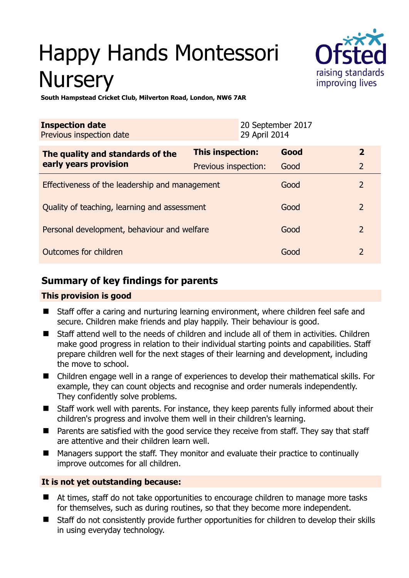# Happy Hands Montessori **Nursery**



**South Hampstead Cricket Club, Milverton Road, London, NW6 7AR** 

| <b>Inspection date</b><br>Previous inspection date |                      | 20 September 2017<br>29 April 2014 |      |                |
|----------------------------------------------------|----------------------|------------------------------------|------|----------------|
| The quality and standards of the                   | This inspection:     |                                    | Good | $\overline{2}$ |
| early years provision                              | Previous inspection: |                                    | Good | $\overline{2}$ |
| Effectiveness of the leadership and management     |                      |                                    | Good | $\overline{2}$ |
| Quality of teaching, learning and assessment       |                      |                                    | Good | $\overline{2}$ |
| Personal development, behaviour and welfare        |                      |                                    | Good | $\overline{2}$ |
| Outcomes for children                              |                      |                                    | Good | $\overline{2}$ |

# **Summary of key findings for parents**

# **This provision is good**

- Staff offer a caring and nurturing learning environment, where children feel safe and secure. Children make friends and play happily. Their behaviour is good.
- Staff attend well to the needs of children and include all of them in activities. Children make good progress in relation to their individual starting points and capabilities. Staff prepare children well for the next stages of their learning and development, including the move to school.
- Children engage well in a range of experiences to develop their mathematical skills. For example, they can count objects and recognise and order numerals independently. They confidently solve problems.
- Staff work well with parents. For instance, they keep parents fully informed about their children's progress and involve them well in their children's learning.
- Parents are satisfied with the good service they receive from staff. They say that staff are attentive and their children learn well.
- Managers support the staff. They monitor and evaluate their practice to continually improve outcomes for all children.

# **It is not yet outstanding because:**

- At times, staff do not take opportunities to encourage children to manage more tasks for themselves, such as during routines, so that they become more independent.
- Staff do not consistently provide further opportunities for children to develop their skills in using everyday technology.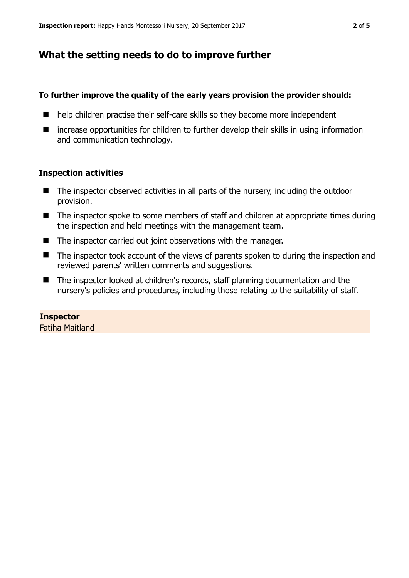# **What the setting needs to do to improve further**

## **To further improve the quality of the early years provision the provider should:**

- help children practise their self-care skills so they become more independent
- increase opportunities for children to further develop their skills in using information and communication technology.

## **Inspection activities**

- The inspector observed activities in all parts of the nursery, including the outdoor provision.
- The inspector spoke to some members of staff and children at appropriate times during the inspection and held meetings with the management team.
- The inspector carried out joint observations with the manager.
- The inspector took account of the views of parents spoken to during the inspection and reviewed parents' written comments and suggestions.
- The inspector looked at children's records, staff planning documentation and the nursery's policies and procedures, including those relating to the suitability of staff.

# **Inspector**

Fatiha Maitland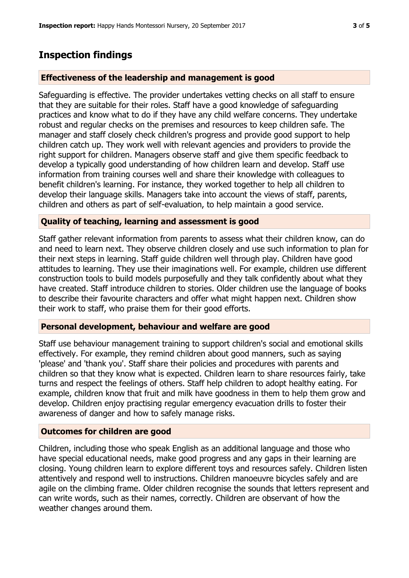# **Inspection findings**

## **Effectiveness of the leadership and management is good**

Safeguarding is effective. The provider undertakes vetting checks on all staff to ensure that they are suitable for their roles. Staff have a good knowledge of safeguarding practices and know what to do if they have any child welfare concerns. They undertake robust and regular checks on the premises and resources to keep children safe. The manager and staff closely check children's progress and provide good support to help children catch up. They work well with relevant agencies and providers to provide the right support for children. Managers observe staff and give them specific feedback to develop a typically good understanding of how children learn and develop. Staff use information from training courses well and share their knowledge with colleagues to benefit children's learning. For instance, they worked together to help all children to develop their language skills. Managers take into account the views of staff, parents, children and others as part of self-evaluation, to help maintain a good service.

## **Quality of teaching, learning and assessment is good**

Staff gather relevant information from parents to assess what their children know, can do and need to learn next. They observe children closely and use such information to plan for their next steps in learning. Staff guide children well through play. Children have good attitudes to learning. They use their imaginations well. For example, children use different construction tools to build models purposefully and they talk confidently about what they have created. Staff introduce children to stories. Older children use the language of books to describe their favourite characters and offer what might happen next. Children show their work to staff, who praise them for their good efforts.

## **Personal development, behaviour and welfare are good**

Staff use behaviour management training to support children's social and emotional skills effectively. For example, they remind children about good manners, such as saying 'please' and 'thank you'. Staff share their policies and procedures with parents and children so that they know what is expected. Children learn to share resources fairly, take turns and respect the feelings of others. Staff help children to adopt healthy eating. For example, children know that fruit and milk have goodness in them to help them grow and develop. Children enjoy practising regular emergency evacuation drills to foster their awareness of danger and how to safely manage risks.

## **Outcomes for children are good**

Children, including those who speak English as an additional language and those who have special educational needs, make good progress and any gaps in their learning are closing. Young children learn to explore different toys and resources safely. Children listen attentively and respond well to instructions. Children manoeuvre bicycles safely and are agile on the climbing frame. Older children recognise the sounds that letters represent and can write words, such as their names, correctly. Children are observant of how the weather changes around them.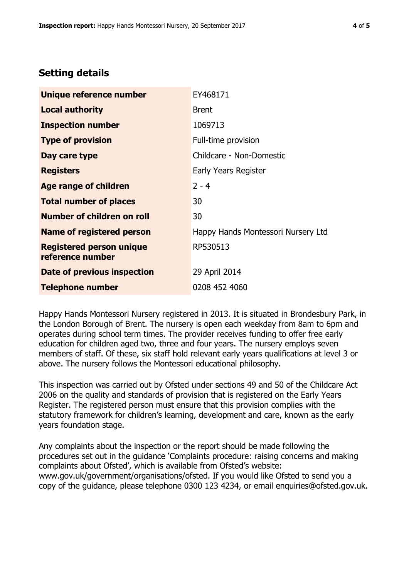# **Setting details**

| Unique reference number                             | EY468171                           |  |
|-----------------------------------------------------|------------------------------------|--|
| <b>Local authority</b>                              | <b>Brent</b>                       |  |
| <b>Inspection number</b>                            | 1069713                            |  |
| <b>Type of provision</b>                            | Full-time provision                |  |
| Day care type                                       | Childcare - Non-Domestic           |  |
| <b>Registers</b>                                    | Early Years Register               |  |
| <b>Age range of children</b>                        | $2 - 4$                            |  |
| <b>Total number of places</b>                       | 30                                 |  |
| <b>Number of children on roll</b>                   | 30                                 |  |
| Name of registered person                           | Happy Hands Montessori Nursery Ltd |  |
| <b>Registered person unique</b><br>reference number | RP530513                           |  |
| Date of previous inspection                         | 29 April 2014                      |  |
| <b>Telephone number</b>                             | 0208 452 4060                      |  |

Happy Hands Montessori Nursery registered in 2013. It is situated in Brondesbury Park, in the London Borough of Brent. The nursery is open each weekday from 8am to 6pm and operates during school term times. The provider receives funding to offer free early education for children aged two, three and four years. The nursery employs seven members of staff. Of these, six staff hold relevant early years qualifications at level 3 or above. The nursery follows the Montessori educational philosophy.

This inspection was carried out by Ofsted under sections 49 and 50 of the Childcare Act 2006 on the quality and standards of provision that is registered on the Early Years Register. The registered person must ensure that this provision complies with the statutory framework for children's learning, development and care, known as the early years foundation stage.

Any complaints about the inspection or the report should be made following the procedures set out in the guidance 'Complaints procedure: raising concerns and making complaints about Ofsted', which is available from Ofsted's website: www.gov.uk/government/organisations/ofsted. If you would like Ofsted to send you a copy of the guidance, please telephone 0300 123 4234, or email enquiries@ofsted.gov.uk.